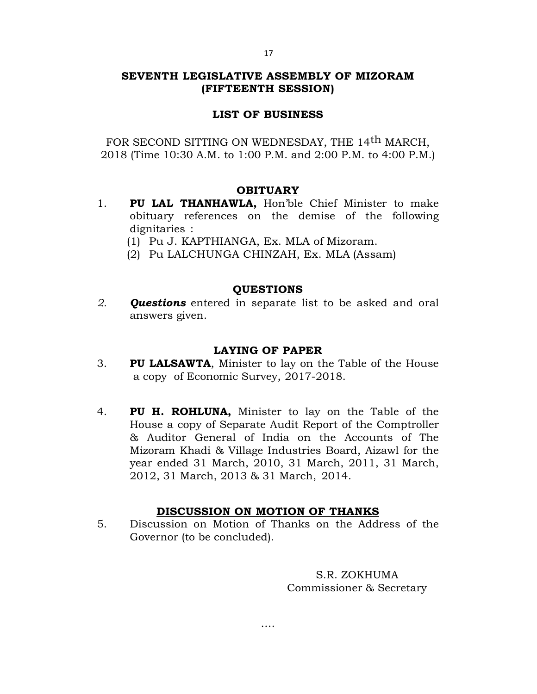## **SEVENTH LEGISLATIVE ASSEMBLY OF MIZORAM (FIFTEENTH SESSION)**

## **LIST OF BUSINESS**

FOR SECOND SITTING ON WEDNESDAY, THE 14<sup>th</sup> MARCH, 2018 (Time 10:30 A.M. to 1:00 P.M. and 2:00 P.M. to 4:00 P.M.)

### **OBITUARY**

- 1. **PU LAL THANHAWLA,** Hon'ble Chief Minister to make obituary references on the demise of the following dignitaries :
	- (1) Pu J. KAPTHIANGA, Ex. MLA of Mizoram.
	- (2) Pu LALCHUNGA CHINZAH, Ex. MLA (Assam)

## **QUESTIONS**

*2. Questions* entered in separate list to be asked and oral answers given.

## **LAYING OF PAPER**

- 3. **PU LALSAWTA**, Minister to lay on the Table of the House a copy of Economic Survey, 2017-2018.
- 4. **PU H. ROHLUNA,** Minister to lay on the Table of the House a copy of Separate Audit Report of the Comptroller & Auditor General of India on the Accounts of The Mizoram Khadi & Village Industries Board, Aizawl for the year ended 31 March, 2010, 31 March, 2011, 31 March, 2012, 31 March, 2013 & 31 March, 2014.

# **DISCUSSION ON MOTION OF THANKS**

5. Discussion on Motion of Thanks on the Address of the Governor (to be concluded).

….

S.R. ZOKHUMA Commissioner & Secretary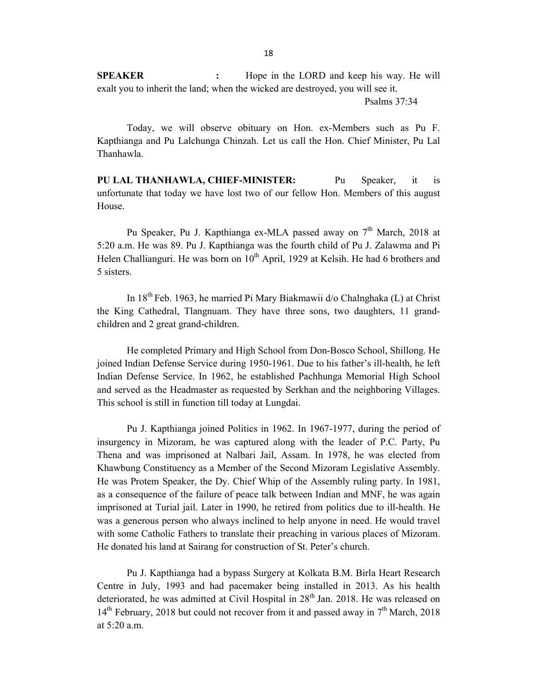**SPEAKER :** Hope in the LORD and keep his way. He will exalt you to inherit the land; when the wicked are destroyed, you will see it.

Psalms 37:34

Today, we will observe obituary on Hon. ex-Members such as Pu F. Kapthianga and Pu Lalchunga Chinzah. Let us call the Hon. Chief Minister, Pu Lal Thanhawla.

**PU LAL THANHAWLA, CHIEF-MINISTER:** Pu Speaker, it is unfortunate that today we have lost two of our fellow Hon. Members of this august House.

Pu Speaker, Pu J. Kapthianga ex-MLA passed away on  $7<sup>th</sup>$  March, 2018 at 5:20 a.m. He was 89. Pu J. Kapthianga was the fourth child of Pu J. Zalawma and Pi Helen Challianguri. He was born on  $10^{th}$  April, 1929 at Kelsih. He had 6 brothers and 5 sisters.

In  $18^{th}$  Feb. 1963, he married Pi Mary Biakmawii d/o Chalnghaka (L) at Christ the King Cathedral, Tlangnuam. They have three sons, two daughters, 11 grandchildren and 2 great grand-children.

He completed Primary and High School from Don-Bosco School, Shillong. He joined Indian Defense Service during 1950-1961. Due to his father's ill-health, he left Indian Defense Service. In 1962, he established Pachhunga Memorial High School and served as the Headmaster as requested by Serkhan and the neighboring Villages. This school is still in function till today at Lungdai.

Pu J. Kapthianga joined Politics in 1962. In 1967-1977, during the period of insurgency in Mizoram, he was captured along with the leader of P.C. Party, Pu Thena and was imprisoned at Nalbari Jail, Assam. In 1978, he was elected from Khawbung Constituency as a Member of the Second Mizoram Legislative Assembly. He was Protem Speaker, the Dy. Chief Whip of the Assembly ruling party. In 1981, as a consequence of the failure of peace talk between Indian and MNF, he was again imprisoned at Turial jail. Later in 1990, he retired from politics due to ill-health. He was a generous person who always inclined to help anyone in need. He would travel with some Catholic Fathers to translate their preaching in various places of Mizoram. He donated his land at Sairang for construction of St. Peter's church.

Pu J. Kapthianga had a bypass Surgery at Kolkata B.M. Birla Heart Research Centre in July, 1993 and had pacemaker being installed in 2013. As his health deteriorated, he was admitted at Civil Hospital in  $28<sup>th</sup>$  Jan. 2018. He was released on  $14<sup>th</sup>$  February, 2018 but could not recover from it and passed away in  $7<sup>th</sup>$  March, 2018 at 5:20 a.m.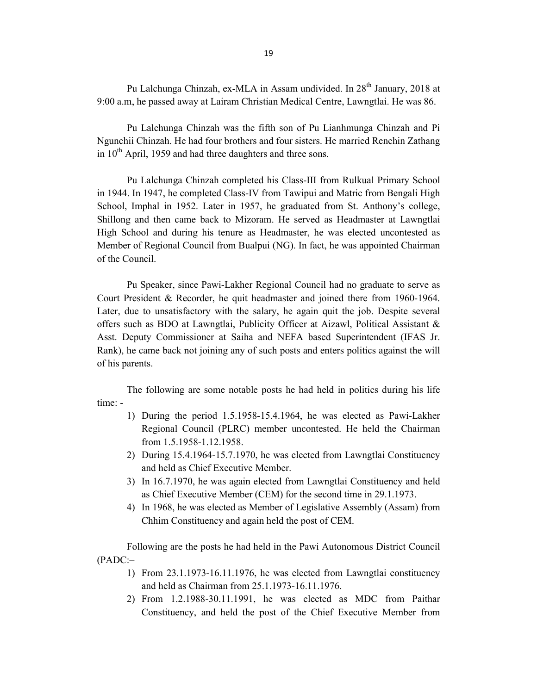Pu Lalchunga Chinzah, ex-MLA in Assam undivided. In 28<sup>th</sup> January, 2018 at 9:00 a.m, he passed away at Lairam Christian Medical Centre, Lawngtlai. He was 86.

Pu Lalchunga Chinzah was the fifth son of Pu Lianhmunga Chinzah and Pi Ngunchii Chinzah. He had four brothers and four sisters. He married Renchin Zathang in  $10^{th}$  April, 1959 and had three daughters and three sons.

Pu Lalchunga Chinzah completed his Class-III from Rulkual Primary School in 1944. In 1947, he completed Class-IV from Tawipui and Matric from Bengali High School, Imphal in 1952. Later in 1957, he graduated from St. Anthony's college, Shillong and then came back to Mizoram. He served as Headmaster at Lawngtlai High School and during his tenure as Headmaster, he was elected uncontested as Member of Regional Council from Bualpui (NG). In fact, he was appointed Chairman of the Council.

Pu Speaker, since Pawi-Lakher Regional Council had no graduate to serve as Court President & Recorder, he quit headmaster and joined there from 1960-1964. Later, due to unsatisfactory with the salary, he again quit the job. Despite several offers such as BDO at Lawngtlai, Publicity Officer at Aizawl, Political Assistant & Asst. Deputy Commissioner at Saiha and NEFA based Superintendent (IFAS Jr. Rank), he came back not joining any of such posts and enters politics against the will of his parents.

The following are some notable posts he had held in politics during his life time: -

- 1) During the period 1.5.1958-15.4.1964, he was elected as Pawi-Lakher Regional Council (PLRC) member uncontested. He held the Chairman from 1.5.1958-1.12.1958.
- 2) During 15.4.1964-15.7.1970, he was elected from Lawngtlai Constituency and held as Chief Executive Member.
- 3) In 16.7.1970, he was again elected from Lawngtlai Constituency and held as Chief Executive Member (CEM) for the second time in 29.1.1973.
- 4) In 1968, he was elected as Member of Legislative Assembly (Assam) from Chhim Constituency and again held the post of CEM.

Following are the posts he had held in the Pawi Autonomous District Council (PADC:–

- 1) From 23.1.1973-16.11.1976, he was elected from Lawngtlai constituency and held as Chairman from 25.1.1973-16.11.1976.
- 2) From 1.2.1988-30.11.1991, he was elected as MDC from Paithar Constituency, and held the post of the Chief Executive Member from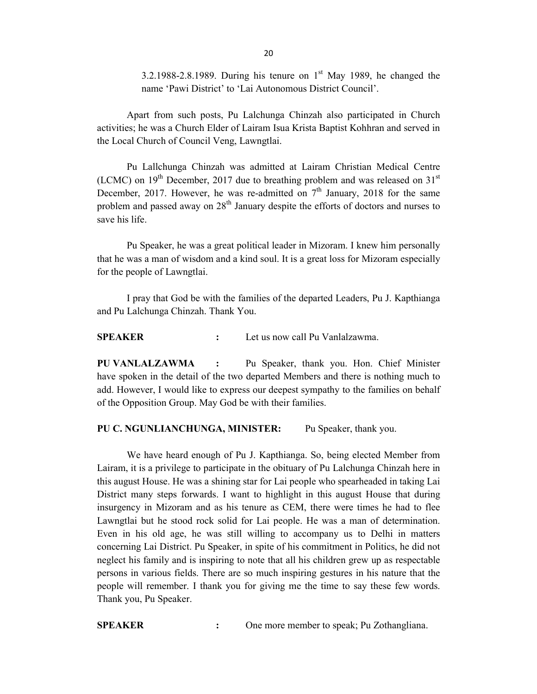3.2.1988-2.8.1989. During his tenure on  $1<sup>st</sup>$  May 1989, he changed the name 'Pawi District' to 'Lai Autonomous District Council'.

Apart from such posts, Pu Lalchunga Chinzah also participated in Church activities; he was a Church Elder of Lairam Isua Krista Baptist Kohhran and served in the Local Church of Council Veng, Lawngtlai.

Pu Lallchunga Chinzah was admitted at Lairam Christian Medical Centre (LCMC) on  $19<sup>th</sup>$  December, 2017 due to breathing problem and was released on  $31<sup>st</sup>$ December, 2017. However, he was re-admitted on  $7<sup>th</sup>$  January, 2018 for the same problem and passed away on  $28<sup>th</sup>$  January despite the efforts of doctors and nurses to save his life.

Pu Speaker, he was a great political leader in Mizoram. I knew him personally that he was a man of wisdom and a kind soul. It is a great loss for Mizoram especially for the people of Lawngtlai.

I pray that God be with the families of the departed Leaders, Pu J. Kapthianga and Pu Lalchunga Chinzah. Thank You.

**SPEAKER :** Let us now call Pu Vanlalzawma.

**PU VANLALZAWMA :** Pu Speaker, thank you. Hon. Chief Minister have spoken in the detail of the two departed Members and there is nothing much to add. However, I would like to express our deepest sympathy to the families on behalf of the Opposition Group. May God be with their families.

### **PU C. NGUNLIANCHUNGA, MINISTER:** Pu Speaker, thank you.

We have heard enough of Pu J. Kapthianga. So, being elected Member from Lairam, it is a privilege to participate in the obituary of Pu Lalchunga Chinzah here in this august House. He was a shining star for Lai people who spearheaded in taking Lai District many steps forwards. I want to highlight in this august House that during insurgency in Mizoram and as his tenure as CEM, there were times he had to flee Lawngtlai but he stood rock solid for Lai people. He was a man of determination. Even in his old age, he was still willing to accompany us to Delhi in matters concerning Lai District. Pu Speaker, in spite of his commitment in Politics, he did not neglect his family and is inspiring to note that all his children grew up as respectable persons in various fields. There are so much inspiring gestures in his nature that the people will remember. I thank you for giving me the time to say these few words. Thank you, Pu Speaker.

**SPEAKER :** One more member to speak; Pu Zothangliana.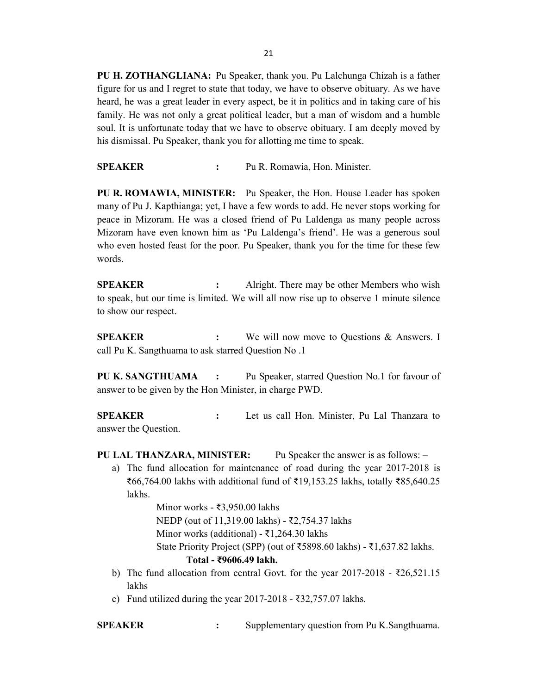**PU H. ZOTHANGLIANA:** Pu Speaker, thank you. Pu Lalchunga Chizah is a father figure for us and I regret to state that today, we have to observe obituary. As we have heard, he was a great leader in every aspect, be it in politics and in taking care of his family. He was not only a great political leader, but a man of wisdom and a humble soul. It is unfortunate today that we have to observe obituary. I am deeply moved by his dismissal. Pu Speaker, thank you for allotting me time to speak.

**SPEAKER :** Pu R. Romawia, Hon. Minister.

**PU R. ROMAWIA, MINISTER:** Pu Speaker, the Hon. House Leader has spoken many of Pu J. Kapthianga; yet, I have a few words to add. He never stops working for peace in Mizoram. He was a closed friend of Pu Laldenga as many people across Mizoram have even known him as 'Pu Laldenga's friend'. He was a generous soul who even hosted feast for the poor. Pu Speaker, thank you for the time for these few words.

**SPEAKER :** Alright. There may be other Members who wish to speak, but our time is limited. We will all now rise up to observe 1 minute silence to show our respect.

**SPEAKER** : We will now move to Questions & Answers. I call Pu K. Sangthuama to ask starred Question No .1

**PU K. SANGTHUAMA :** Pu Speaker, starred Question No.1 for favour of answer to be given by the Hon Minister, in charge PWD.

**SPEAKER :** Let us call Hon. Minister, Pu Lal Thanzara to answer the Question.

- **PU LAL THANZARA, MINISTER:** Pu Speaker the answer is as follows:
	- a) The fund allocation for maintenance of road during the year 2017-2018 is ₹66,764.00 lakhs with additional fund of ₹19,153.25 lakhs, totally ₹85,640.25 lakhs.

Minor works - ₹3,950.00 lakhs NEDP (out of 11,319.00 lakhs) - ₹2,754.37 lakhs Minor works (additional) - ₹1,264.30 lakhs State Priority Project (SPP) (out of ₹5898.60 lakhs) - ₹1,637.82 lakhs. **Total - ₹9606.49 lakh.**

- b) The fund allocation from central Govt. for the year 2017-2018 ₹26,521.15 lakhs
- c) Fund utilized during the year  $2017-2018$  ₹32,757.07 lakhs.

**SPEAKER :** Supplementary question from Pu K.Sangthuama.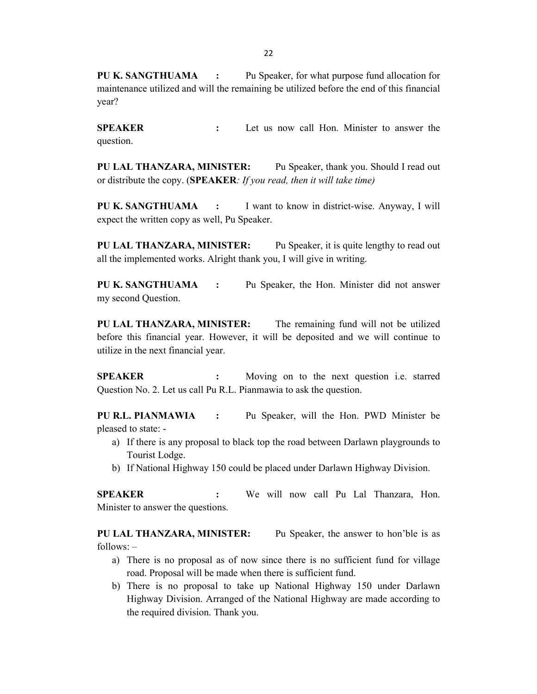**PU K. SANGTHUAMA :** Pu Speaker, for what purpose fund allocation for maintenance utilized and will the remaining be utilized before the end of this financial year?

**SPEAKER :** Let us now call Hon. Minister to answer the question.

**PU LAL THANZARA, MINISTER:** Pu Speaker, thank you. Should I read out or distribute the copy. (**SPEAKER***: If you read, then it will take time)*

**PU K. SANGTHUAMA :** I want to know in district-wise. Anyway, I will expect the written copy as well, Pu Speaker.

**PU LAL THANZARA, MINISTER:** Pu Speaker, it is quite lengthy to read out all the implemented works. Alright thank you, I will give in writing.

**PU K. SANGTHUAMA :** Pu Speaker, the Hon. Minister did not answer my second Question.

**PU LAL THANZARA, MINISTER:** The remaining fund will not be utilized before this financial year. However, it will be deposited and we will continue to utilize in the next financial year.

**SPEAKER :** Moving on to the next question i.e. starred Question No. 2. Let us call Pu R.L. Pianmawia to ask the question.

**PU R.L. PIANMAWIA :** Pu Speaker, will the Hon. PWD Minister be pleased to state: -

- a) If there is any proposal to black top the road between Darlawn playgrounds to Tourist Lodge.
- b) If National Highway 150 could be placed under Darlawn Highway Division.

**SPEAKER :** We will now call Pu Lal Thanzara, Hon. Minister to answer the questions.

**PU LAL THANZARA, MINISTER:** Pu Speaker, the answer to hon'ble is as follows: –

- a) There is no proposal as of now since there is no sufficient fund for village road. Proposal will be made when there is sufficient fund.
- b) There is no proposal to take up National Highway 150 under Darlawn Highway Division. Arranged of the National Highway are made according to the required division. Thank you.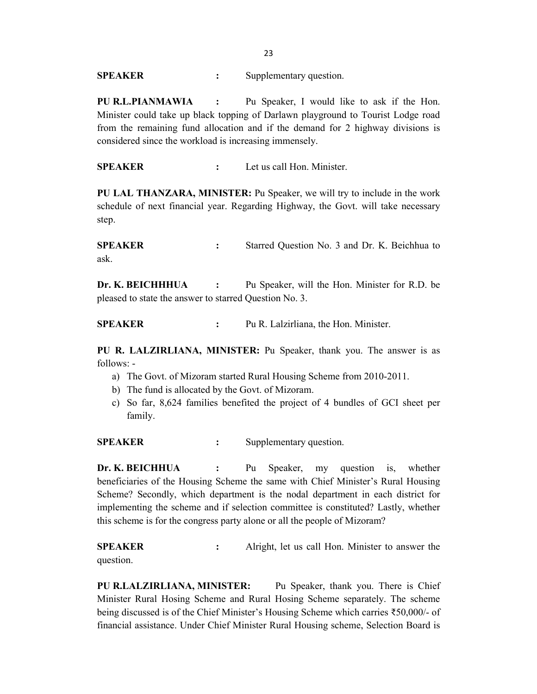**SPEAKER** : Supplementary question.

**PU R.L.PIANMAWIA :** Pu Speaker, I would like to ask if the Hon. Minister could take up black topping of Darlawn playground to Tourist Lodge road from the remaining fund allocation and if the demand for 2 highway divisions is considered since the workload is increasing immensely.

**SPEAKER :** Let us call Hon. Minister.

**PU LAL THANZARA, MINISTER:** Pu Speaker, we will try to include in the work schedule of next financial year. Regarding Highway, the Govt. will take necessary step.

**SPEAKER :** Starred Question No. 3 and Dr. K. Beichhua to ask.

**Dr. K. BEICHHHUA :** Pu Speaker, will the Hon. Minister for R.D. be pleased to state the answer to starred Question No. 3.

**SPEAKER :** Pu R. Lalzirliana, the Hon. Minister.

**PU R. LALZIRLIANA, MINISTER:** Pu Speaker, thank you. The answer is as follows: -

- a) The Govt. of Mizoram started Rural Housing Scheme from 2010-2011.
- b) The fund is allocated by the Govt. of Mizoram.
- c) So far, 8,624 families benefited the project of 4 bundles of GCI sheet per family.

**SPEAKER** : Supplementary question.

**Dr. K. BEICHHUA :** Pu Speaker, my question is, whether beneficiaries of the Housing Scheme the same with Chief Minister's Rural Housing Scheme? Secondly, which department is the nodal department in each district for implementing the scheme and if selection committee is constituted? Lastly, whether this scheme is for the congress party alone or all the people of Mizoram?

**SPEAKER :** Alright, let us call Hon. Minister to answer the question.

**PU R.LALZIRLIANA, MINISTER:** Pu Speaker, thank you. There is Chief Minister Rural Hosing Scheme and Rural Hosing Scheme separately. The scheme being discussed is of the Chief Minister's Housing Scheme which carries ₹50,000/- of financial assistance. Under Chief Minister Rural Housing scheme, Selection Board is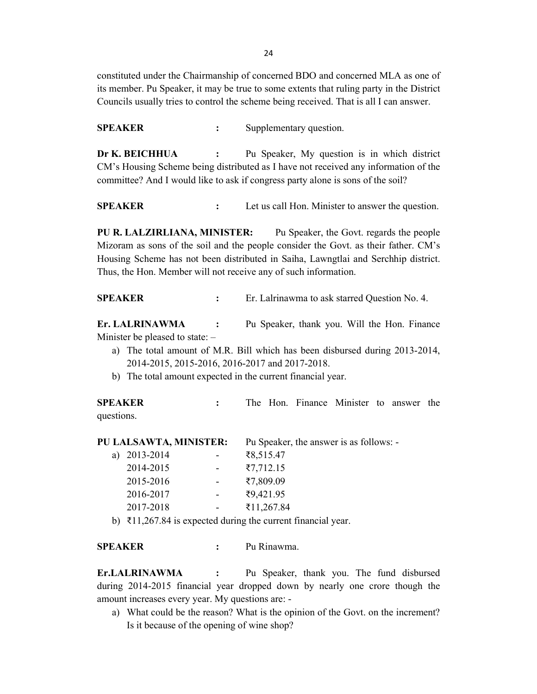constituted under the Chairmanship of concerned BDO and concerned MLA as one of its member. Pu Speaker, it may be true to some extents that ruling party in the District Councils usually tries to control the scheme being received. That is all I can answer.

**SPEAKER** : Supplementary question.

**Dr K. BEICHHUA :** Pu Speaker, My question is in which district CM's Housing Scheme being distributed as I have not received any information of the committee? And I would like to ask if congress party alone is sons of the soil?

**SPEAKER :** Let us call Hon. Minister to answer the question.

**PU R. LALZIRLIANA, MINISTER:** Pu Speaker, the Govt. regards the people Mizoram as sons of the soil and the people consider the Govt. as their father. CM's Housing Scheme has not been distributed in Saiha, Lawngtlai and Serchhip district. Thus, the Hon. Member will not receive any of such information.

**SPEAKER :** Er. Lalrinawma to ask starred Question No. 4.

**Er. LALRINAWMA :** Pu Speaker, thank you. Will the Hon. Finance Minister be pleased to state: –

- a) The total amount of M.R. Bill which has been disbursed during 2013-2014, 2014-2015, 2015-2016, 2016-2017 and 2017-2018.
- b) The total amount expected in the current financial year.

**SPEAKER :** The Hon. Finance Minister to answer the questions.

**PU LALSAWTA, MINISTER:** Pu Speaker, the answer is as follows: -

| a) | 2013-2014 | ₹8,515.47              |
|----|-----------|------------------------|
|    | 2014-2015 | $\overline{57,712.15}$ |
|    | 2015-2016 | ₹7,809.09              |
|    | 2016-2017 | ₹9,421.95              |
|    | 2017-2018 | ₹11,267.84             |
|    |           |                        |

b) ₹11,267.84 is expected during the current financial year.

**SPEAKER :** Pu Rinawma.

**Er.LALRINAWMA :** Pu Speaker, thank you. The fund disbursed during 2014-2015 financial year dropped down by nearly one crore though the amount increases every year. My questions are: -

a) What could be the reason? What is the opinion of the Govt. on the increment? Is it because of the opening of wine shop?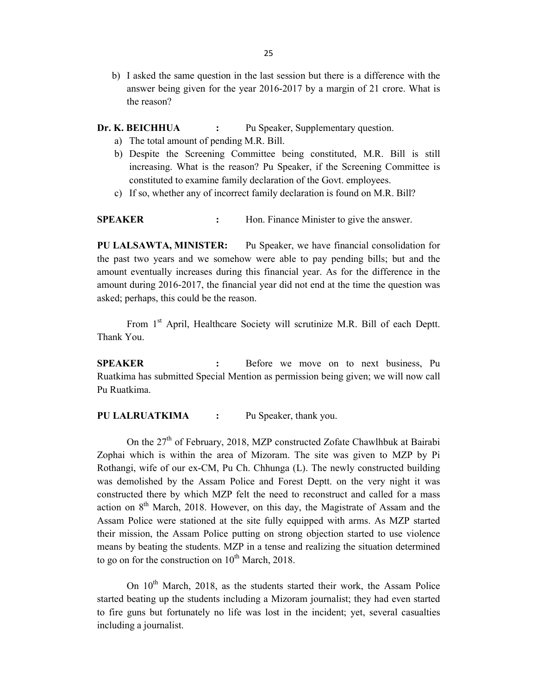b) I asked the same question in the last session but there is a difference with the answer being given for the year 2016-2017 by a margin of 21 crore. What is the reason?

**Dr. K. BEICHHUA :** Pu Speaker, Supplementary question.

- a) The total amount of pending M.R. Bill.
- b) Despite the Screening Committee being constituted, M.R. Bill is still increasing. What is the reason? Pu Speaker, if the Screening Committee is constituted to examine family declaration of the Govt. employees.
- c) If so, whether any of incorrect family declaration is found on M.R. Bill?

**SPEAKER :** Hon. Finance Minister to give the answer.

**PU LALSAWTA, MINISTER:** Pu Speaker, we have financial consolidation for the past two years and we somehow were able to pay pending bills; but and the amount eventually increases during this financial year. As for the difference in the amount during 2016-2017, the financial year did not end at the time the question was asked; perhaps, this could be the reason.

From 1<sup>st</sup> April, Healthcare Society will scrutinize M.R. Bill of each Deptt. Thank You.

**SPEAKER :** Before we move on to next business, Pu Ruatkima has submitted Special Mention as permission being given; we will now call Pu Ruatkima.

**PU LALRUATKIMA :** Pu Speaker, thank you.

On the 27<sup>th</sup> of February, 2018, MZP constructed Zofate Chawlhbuk at Bairabi Zophai which is within the area of Mizoram. The site was given to MZP by Pi Rothangi, wife of our ex-CM, Pu Ch. Chhunga (L). The newly constructed building was demolished by the Assam Police and Forest Deptt. on the very night it was constructed there by which MZP felt the need to reconstruct and called for a mass action on  $8<sup>th</sup>$  March, 2018. However, on this day, the Magistrate of Assam and the Assam Police were stationed at the site fully equipped with arms. As MZP started their mission, the Assam Police putting on strong objection started to use violence means by beating the students. MZP in a tense and realizing the situation determined to go on for the construction on  $10^{th}$  March, 2018.

On 10<sup>th</sup> March, 2018, as the students started their work, the Assam Police started beating up the students including a Mizoram journalist; they had even started to fire guns but fortunately no life was lost in the incident; yet, several casualties including a journalist.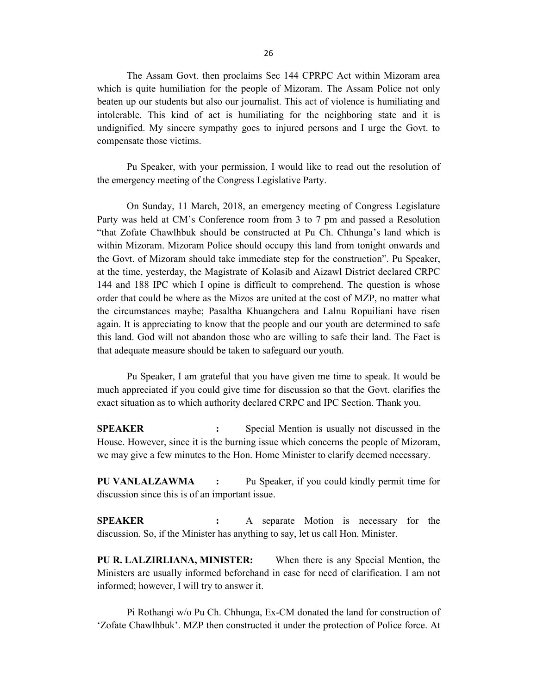The Assam Govt. then proclaims Sec 144 CPRPC Act within Mizoram area which is quite humiliation for the people of Mizoram. The Assam Police not only beaten up our students but also our journalist. This act of violence is humiliating and intolerable. This kind of act is humiliating for the neighboring state and it is undignified. My sincere sympathy goes to injured persons and I urge the Govt. to compensate those victims.

Pu Speaker, with your permission, I would like to read out the resolution of the emergency meeting of the Congress Legislative Party.

On Sunday, 11 March, 2018, an emergency meeting of Congress Legislature Party was held at CM's Conference room from 3 to 7 pm and passed a Resolution "that Zofate Chawlhbuk should be constructed at Pu Ch. Chhunga's land which is within Mizoram. Mizoram Police should occupy this land from tonight onwards and the Govt. of Mizoram should take immediate step for the construction". Pu Speaker, at the time, yesterday, the Magistrate of Kolasib and Aizawl District declared CRPC 144 and 188 IPC which I opine is difficult to comprehend. The question is whose order that could be where as the Mizos are united at the cost of MZP, no matter what the circumstances maybe; Pasaltha Khuangchera and Lalnu Ropuiliani have risen again. It is appreciating to know that the people and our youth are determined to safe this land. God will not abandon those who are willing to safe their land. The Fact is that adequate measure should be taken to safeguard our youth.

Pu Speaker, I am grateful that you have given me time to speak. It would be much appreciated if you could give time for discussion so that the Govt. clarifies the exact situation as to which authority declared CRPC and IPC Section. Thank you.

**SPEAKER :** Special Mention is usually not discussed in the House. However, since it is the burning issue which concerns the people of Mizoram, we may give a few minutes to the Hon. Home Minister to clarify deemed necessary.

**PU VANLALZAWMA :** Pu Speaker, if you could kindly permit time for discussion since this is of an important issue.

**SPEAKER :** A separate Motion is necessary for the discussion. So, if the Minister has anything to say, let us call Hon. Minister.

**PU R. LALZIRLIANA, MINISTER:** When there is any Special Mention, the Ministers are usually informed beforehand in case for need of clarification. I am not informed; however, I will try to answer it.

Pi Rothangi w/o Pu Ch. Chhunga, Ex-CM donated the land for construction of 'Zofate Chawlhbuk'. MZP then constructed it under the protection of Police force. At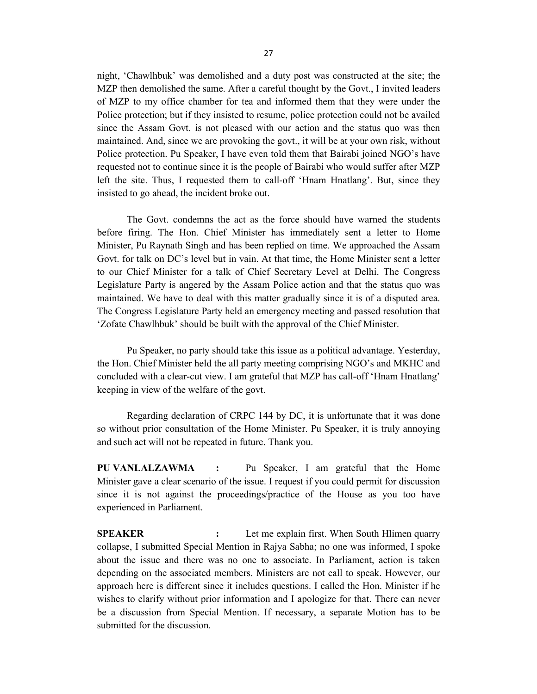night, 'Chawlhbuk' was demolished and a duty post was constructed at the site; the MZP then demolished the same. After a careful thought by the Govt., I invited leaders of MZP to my office chamber for tea and informed them that they were under the Police protection; but if they insisted to resume, police protection could not be availed since the Assam Govt. is not pleased with our action and the status quo was then maintained. And, since we are provoking the govt., it will be at your own risk, without Police protection. Pu Speaker, I have even told them that Bairabi joined NGO's have requested not to continue since it is the people of Bairabi who would suffer after MZP left the site. Thus, I requested them to call-off 'Hnam Hnatlang'. But, since they insisted to go ahead, the incident broke out.

The Govt. condemns the act as the force should have warned the students before firing. The Hon. Chief Minister has immediately sent a letter to Home Minister, Pu Raynath Singh and has been replied on time. We approached the Assam Govt. for talk on DC's level but in vain. At that time, the Home Minister sent a letter to our Chief Minister for a talk of Chief Secretary Level at Delhi. The Congress Legislature Party is angered by the Assam Police action and that the status quo was maintained. We have to deal with this matter gradually since it is of a disputed area. The Congress Legislature Party held an emergency meeting and passed resolution that 'Zofate Chawlhbuk' should be built with the approval of the Chief Minister.

Pu Speaker, no party should take this issue as a political advantage. Yesterday, the Hon. Chief Minister held the all party meeting comprising NGO's and MKHC and concluded with a clear-cut view. I am grateful that MZP has call-off 'Hnam Hnatlang' keeping in view of the welfare of the govt.

Regarding declaration of CRPC 144 by DC, it is unfortunate that it was done so without prior consultation of the Home Minister. Pu Speaker, it is truly annoying and such act will not be repeated in future. Thank you.

**PU VANLALZAWMA :** Pu Speaker, I am grateful that the Home Minister gave a clear scenario of the issue. I request if you could permit for discussion since it is not against the proceedings/practice of the House as you too have experienced in Parliament.

**SPEAKER :** Let me explain first. When South Hlimen quarry collapse, I submitted Special Mention in Rajya Sabha; no one was informed, I spoke about the issue and there was no one to associate. In Parliament, action is taken depending on the associated members. Ministers are not call to speak. However, our approach here is different since it includes questions. I called the Hon. Minister if he wishes to clarify without prior information and I apologize for that. There can never be a discussion from Special Mention. If necessary, a separate Motion has to be submitted for the discussion.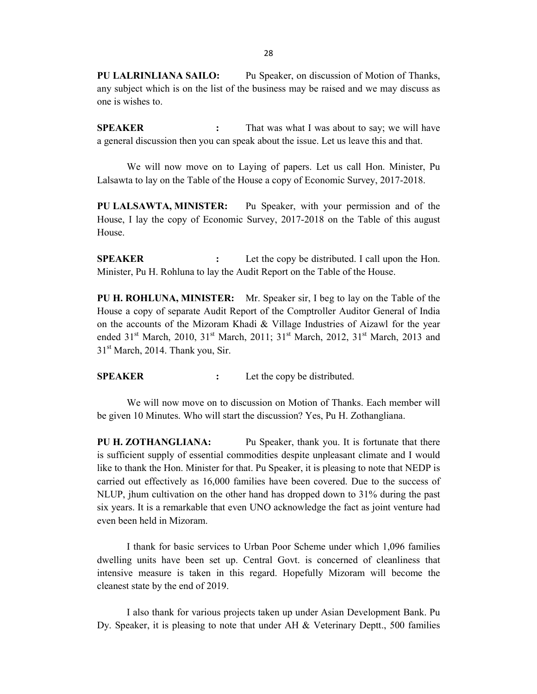**PU LALRINLIANA SAILO:** Pu Speaker, on discussion of Motion of Thanks, any subject which is on the list of the business may be raised and we may discuss as one is wishes to.

**SPEAKER :** That was what I was about to say; we will have a general discussion then you can speak about the issue. Let us leave this and that.

We will now move on to Laying of papers. Let us call Hon. Minister, Pu Lalsawta to lay on the Table of the House a copy of Economic Survey, 2017-2018.

**PU LALSAWTA, MINISTER:** Pu Speaker, with your permission and of the House, I lay the copy of Economic Survey, 2017-2018 on the Table of this august House.

**SPEAKER :** Let the copy be distributed. I call upon the Hon. Minister, Pu H. Rohluna to lay the Audit Report on the Table of the House.

**PU H. ROHLUNA, MINISTER:** Mr. Speaker sir, I beg to lay on the Table of the House a copy of separate Audit Report of the Comptroller Auditor General of India on the accounts of the Mizoram Khadi & Village Industries of Aizawl for the year ended  $31<sup>st</sup>$  March, 2010,  $31<sup>st</sup>$  March, 2011;  $31<sup>st</sup>$  March, 2012,  $31<sup>st</sup>$  March, 2013 and  $31<sup>st</sup>$  March, 2014. Thank you, Sir.

**SPEAKER :** Let the copy be distributed.

We will now move on to discussion on Motion of Thanks. Each member will be given 10 Minutes. Who will start the discussion? Yes, Pu H. Zothangliana.

**PU H. ZOTHANGLIANA:** Pu Speaker, thank you. It is fortunate that there is sufficient supply of essential commodities despite unpleasant climate and I would like to thank the Hon. Minister for that. Pu Speaker, it is pleasing to note that NEDP is carried out effectively as 16,000 families have been covered. Due to the success of NLUP, jhum cultivation on the other hand has dropped down to 31% during the past six years. It is a remarkable that even UNO acknowledge the fact as joint venture had even been held in Mizoram.

I thank for basic services to Urban Poor Scheme under which 1,096 families dwelling units have been set up. Central Govt. is concerned of cleanliness that intensive measure is taken in this regard. Hopefully Mizoram will become the cleanest state by the end of 2019.

I also thank for various projects taken up under Asian Development Bank. Pu Dy. Speaker, it is pleasing to note that under AH & Veterinary Deptt., 500 families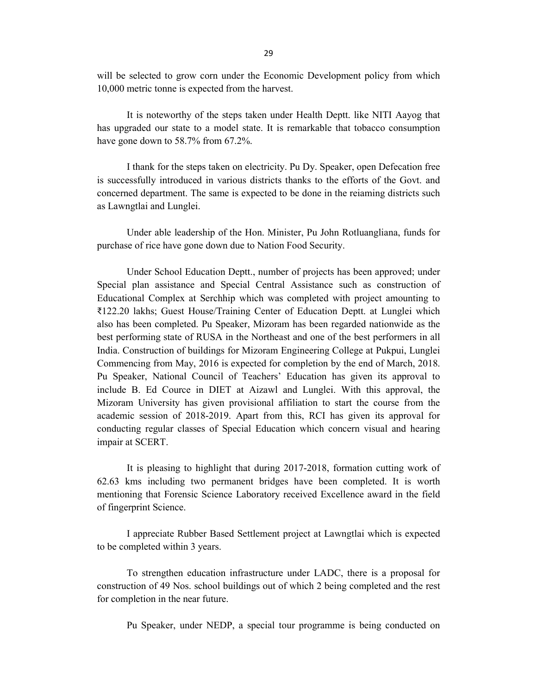will be selected to grow corn under the Economic Development policy from which 10,000 metric tonne is expected from the harvest.

It is noteworthy of the steps taken under Health Deptt. like NITI Aayog that has upgraded our state to a model state. It is remarkable that tobacco consumption have gone down to 58.7% from 67.2%.

I thank for the steps taken on electricity. Pu Dy. Speaker, open Defecation free is successfully introduced in various districts thanks to the efforts of the Govt. and concerned department. The same is expected to be done in the reiaming districts such as Lawngtlai and Lunglei.

Under able leadership of the Hon. Minister, Pu John Rotluangliana, funds for purchase of rice have gone down due to Nation Food Security.

Under School Education Deptt., number of projects has been approved; under Special plan assistance and Special Central Assistance such as construction of Educational Complex at Serchhip which was completed with project amounting to ₹122.20 lakhs; Guest House/Training Center of Education Deptt. at Lunglei which also has been completed. Pu Speaker, Mizoram has been regarded nationwide as the best performing state of RUSA in the Northeast and one of the best performers in all India. Construction of buildings for Mizoram Engineering College at Pukpui, Lunglei Commencing from May, 2016 is expected for completion by the end of March, 2018. Pu Speaker, National Council of Teachers' Education has given its approval to include B. Ed Cource in DIET at Aizawl and Lunglei. With this approval, the Mizoram University has given provisional affiliation to start the course from the academic session of 2018-2019. Apart from this, RCI has given its approval for conducting regular classes of Special Education which concern visual and hearing impair at SCERT.

It is pleasing to highlight that during 2017-2018, formation cutting work of 62.63 kms including two permanent bridges have been completed. It is worth mentioning that Forensic Science Laboratory received Excellence award in the field of fingerprint Science.

I appreciate Rubber Based Settlement project at Lawngtlai which is expected to be completed within 3 years.

To strengthen education infrastructure under LADC, there is a proposal for construction of 49 Nos. school buildings out of which 2 being completed and the rest for completion in the near future.

Pu Speaker, under NEDP, a special tour programme is being conducted on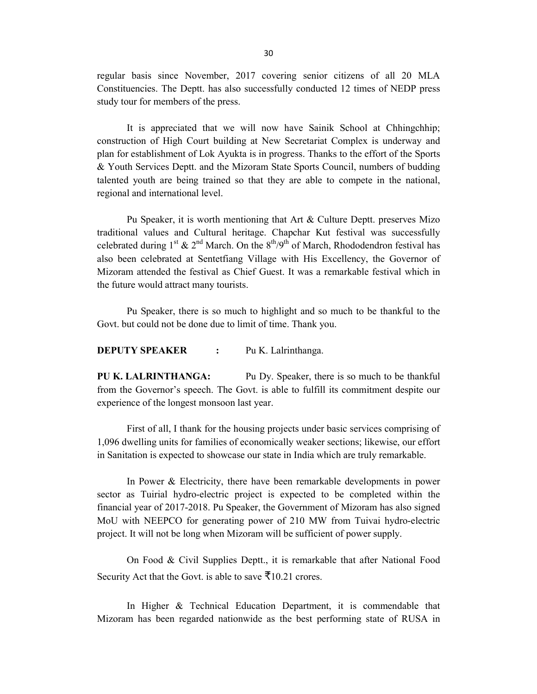regular basis since November, 2017 covering senior citizens of all 20 MLA Constituencies. The Deptt. has also successfully conducted 12 times of NEDP press study tour for members of the press.

It is appreciated that we will now have Sainik School at Chhingchhip; construction of High Court building at New Secretariat Complex is underway and plan for establishment of Lok Ayukta is in progress. Thanks to the effort of the Sports & Youth Services Deptt. and the Mizoram State Sports Council, numbers of budding talented youth are being trained so that they are able to compete in the national, regional and international level.

Pu Speaker, it is worth mentioning that Art & Culture Deptt. preserves Mizo traditional values and Cultural heritage. Chapchar Kut festival was successfully celebrated during  $1^{st}$  &  $2^{nd}$  March. On the  $8^{th}/9^{th}$  of March, Rhododendron festival has also been celebrated at Sentetfiang Village with His Excellency, the Governor of Mizoram attended the festival as Chief Guest. It was a remarkable festival which in the future would attract many tourists.

Pu Speaker, there is so much to highlight and so much to be thankful to the Govt. but could not be done due to limit of time. Thank you.

#### **DEPUTY SPEAKER :** Pu K. Lalrinthanga.

**PU K. LALRINTHANGA:** Pu Dy. Speaker, there is so much to be thankful from the Governor's speech. The Govt. is able to fulfill its commitment despite our experience of the longest monsoon last year.

First of all, I thank for the housing projects under basic services comprising of 1,096 dwelling units for families of economically weaker sections; likewise, our effort in Sanitation is expected to showcase our state in India which are truly remarkable.

In Power & Electricity, there have been remarkable developments in power sector as Tuirial hydro-electric project is expected to be completed within the financial year of 2017-2018. Pu Speaker, the Government of Mizoram has also signed MoU with NEEPCO for generating power of 210 MW from Tuivai hydro-electric project. It will not be long when Mizoram will be sufficient of power supply.

On Food & Civil Supplies Deptt., it is remarkable that after National Food Security Act that the Govt. is able to save  $\bar{\mathcal{F}}$ 10.21 crores.

In Higher & Technical Education Department, it is commendable that Mizoram has been regarded nationwide as the best performing state of RUSA in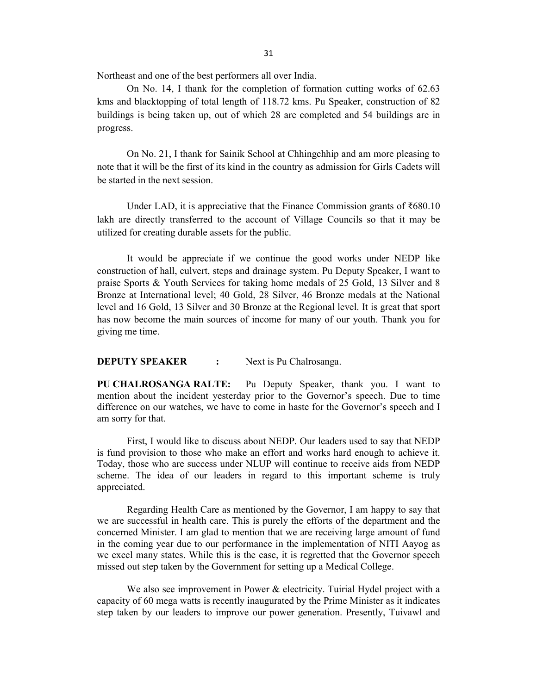Northeast and one of the best performers all over India.

On No. 14, I thank for the completion of formation cutting works of 62.63 kms and blacktopping of total length of 118.72 kms. Pu Speaker, construction of 82 buildings is being taken up, out of which 28 are completed and 54 buildings are in progress.

On No. 21, I thank for Sainik School at Chhingchhip and am more pleasing to note that it will be the first of its kind in the country as admission for Girls Cadets will be started in the next session.

Under LAD, it is appreciative that the Finance Commission grants of ₹680.10 lakh are directly transferred to the account of Village Councils so that it may be utilized for creating durable assets for the public.

It would be appreciate if we continue the good works under NEDP like construction of hall, culvert, steps and drainage system. Pu Deputy Speaker, I want to praise Sports & Youth Services for taking home medals of 25 Gold, 13 Silver and 8 Bronze at International level; 40 Gold, 28 Silver, 46 Bronze medals at the National level and 16 Gold, 13 Silver and 30 Bronze at the Regional level. It is great that sport has now become the main sources of income for many of our youth. Thank you for giving me time.

#### **DEPUTY SPEAKER :** Next is Pu Chalrosanga.

**PU CHALROSANGA RALTE:** Pu Deputy Speaker, thank you. I want to mention about the incident yesterday prior to the Governor's speech. Due to time difference on our watches, we have to come in haste for the Governor's speech and I am sorry for that.

First, I would like to discuss about NEDP. Our leaders used to say that NEDP is fund provision to those who make an effort and works hard enough to achieve it. Today, those who are success under NLUP will continue to receive aids from NEDP scheme. The idea of our leaders in regard to this important scheme is truly appreciated.

Regarding Health Care as mentioned by the Governor, I am happy to say that we are successful in health care. This is purely the efforts of the department and the concerned Minister. I am glad to mention that we are receiving large amount of fund in the coming year due to our performance in the implementation of NITI Aayog as we excel many states. While this is the case, it is regretted that the Governor speech missed out step taken by the Government for setting up a Medical College.

We also see improvement in Power & electricity. Tuirial Hydel project with a capacity of 60 mega watts is recently inaugurated by the Prime Minister as it indicates step taken by our leaders to improve our power generation. Presently, Tuivawl and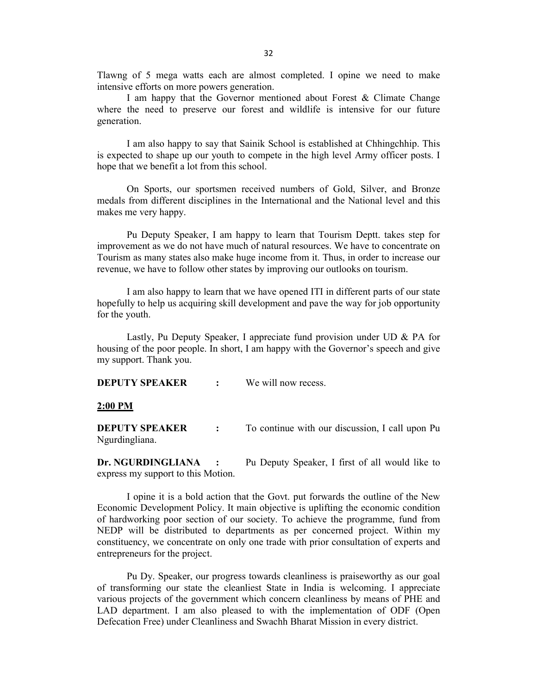Tlawng of 5 mega watts each are almost completed. I opine we need to make intensive efforts on more powers generation.

I am happy that the Governor mentioned about Forest & Climate Change where the need to preserve our forest and wildlife is intensive for our future generation.

I am also happy to say that Sainik School is established at Chhingchhip. This is expected to shape up our youth to compete in the high level Army officer posts. I hope that we benefit a lot from this school.

On Sports, our sportsmen received numbers of Gold, Silver, and Bronze medals from different disciplines in the International and the National level and this makes me very happy.

Pu Deputy Speaker, I am happy to learn that Tourism Deptt. takes step for improvement as we do not have much of natural resources. We have to concentrate on Tourism as many states also make huge income from it. Thus, in order to increase our revenue, we have to follow other states by improving our outlooks on tourism.

I am also happy to learn that we have opened ITI in different parts of our state hopefully to help us acquiring skill development and pave the way for job opportunity for the youth.

Lastly, Pu Deputy Speaker, I appreciate fund provision under UD & PA for housing of the poor people. In short, I am happy with the Governor's speech and give my support. Thank you.

**DEPUTY SPEAKER :** We will now recess.

**2:00 PM**

**DEPUTY SPEAKER** : To continue with our discussion, I call upon Pu Ngurdingliana.

**Dr. NGURDINGLIANA :** Pu Deputy Speaker, I first of all would like to express my support to this Motion.

I opine it is a bold action that the Govt. put forwards the outline of the New Economic Development Policy. It main objective is uplifting the economic condition of hardworking poor section of our society. To achieve the programme, fund from NEDP will be distributed to departments as per concerned project. Within my constituency, we concentrate on only one trade with prior consultation of experts and entrepreneurs for the project.

Pu Dy. Speaker, our progress towards cleanliness is praiseworthy as our goal of transforming our state the cleanliest State in India is welcoming. I appreciate various projects of the government which concern cleanliness by means of PHE and LAD department. I am also pleased to with the implementation of ODF (Open Defecation Free) under Cleanliness and Swachh Bharat Mission in every district.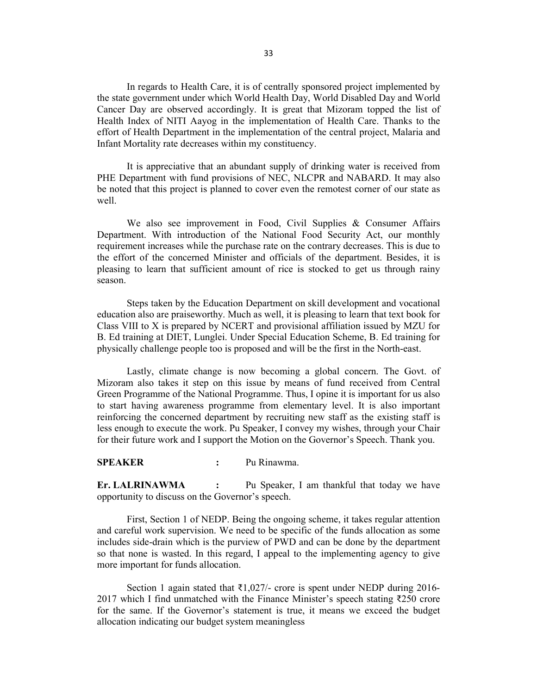In regards to Health Care, it is of centrally sponsored project implemented by the state government under which World Health Day, World Disabled Day and World Cancer Day are observed accordingly. It is great that Mizoram topped the list of Health Index of NITI Aayog in the implementation of Health Care. Thanks to the effort of Health Department in the implementation of the central project, Malaria and Infant Mortality rate decreases within my constituency.

It is appreciative that an abundant supply of drinking water is received from PHE Department with fund provisions of NEC, NLCPR and NABARD. It may also be noted that this project is planned to cover even the remotest corner of our state as well.

We also see improvement in Food, Civil Supplies & Consumer Affairs Department. With introduction of the National Food Security Act, our monthly requirement increases while the purchase rate on the contrary decreases. This is due to the effort of the concerned Minister and officials of the department. Besides, it is pleasing to learn that sufficient amount of rice is stocked to get us through rainy season.

Steps taken by the Education Department on skill development and vocational education also are praiseworthy. Much as well, it is pleasing to learn that text book for Class VIII to X is prepared by NCERT and provisional affiliation issued by MZU for B. Ed training at DIET, Lunglei. Under Special Education Scheme, B. Ed training for physically challenge people too is proposed and will be the first in the North-east.

Lastly, climate change is now becoming a global concern. The Govt. of Mizoram also takes it step on this issue by means of fund received from Central Green Programme of the National Programme. Thus, I opine it is important for us also to start having awareness programme from elementary level. It is also important reinforcing the concerned department by recruiting new staff as the existing staff is less enough to execute the work. Pu Speaker, I convey my wishes, through your Chair for their future work and I support the Motion on the Governor's Speech. Thank you.

**SPEAKER :** Pu Rinawma.

**Er. LALRINAWMA :** Pu Speaker, I am thankful that today we have opportunity to discuss on the Governor's speech.

First, Section 1 of NEDP. Being the ongoing scheme, it takes regular attention and careful work supervision. We need to be specific of the funds allocation as some includes side-drain which is the purview of PWD and can be done by the department so that none is wasted. In this regard, I appeal to the implementing agency to give more important for funds allocation.

Section 1 again stated that ₹1,027/- crore is spent under NEDP during 2016- 2017 which I find unmatched with the Finance Minister's speech stating ₹250 crore for the same. If the Governor's statement is true, it means we exceed the budget allocation indicating our budget system meaningless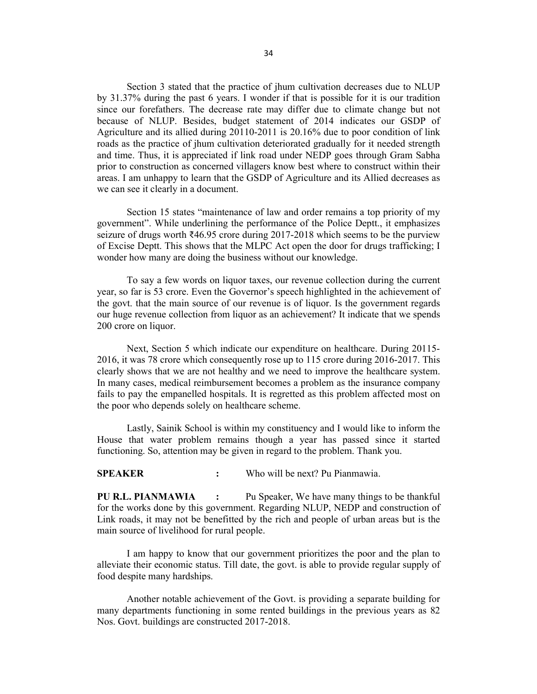Section 3 stated that the practice of jhum cultivation decreases due to NLUP by 31.37% during the past 6 years. I wonder if that is possible for it is our tradition since our forefathers. The decrease rate may differ due to climate change but not because of NLUP. Besides, budget statement of 2014 indicates our GSDP of Agriculture and its allied during 20110-2011 is 20.16% due to poor condition of link roads as the practice of jhum cultivation deteriorated gradually for it needed strength and time. Thus, it is appreciated if link road under NEDP goes through Gram Sabha prior to construction as concerned villagers know best where to construct within their areas. I am unhappy to learn that the GSDP of Agriculture and its Allied decreases as we can see it clearly in a document.

Section 15 states "maintenance of law and order remains a top priority of my government". While underlining the performance of the Police Deptt., it emphasizes seizure of drugs worth ₹46.95 crore during 2017-2018 which seems to be the purview of Excise Deptt. This shows that the MLPC Act open the door for drugs trafficking; I wonder how many are doing the business without our knowledge.

To say a few words on liquor taxes, our revenue collection during the current year, so far is 53 crore. Even the Governor's speech highlighted in the achievement of the govt. that the main source of our revenue is of liquor. Is the government regards our huge revenue collection from liquor as an achievement? It indicate that we spends 200 crore on liquor.

Next, Section 5 which indicate our expenditure on healthcare. During 20115- 2016, it was 78 crore which consequently rose up to 115 crore during 2016-2017. This clearly shows that we are not healthy and we need to improve the healthcare system. In many cases, medical reimbursement becomes a problem as the insurance company fails to pay the empanelled hospitals. It is regretted as this problem affected most on the poor who depends solely on healthcare scheme.

Lastly, Sainik School is within my constituency and I would like to inform the House that water problem remains though a year has passed since it started functioning. So, attention may be given in regard to the problem. Thank you.

**SPEAKER :** Who will be next? Pu Pianmawia.

**PU R.L. PIANMAWIA :** Pu Speaker, We have many things to be thankful for the works done by this government. Regarding NLUP, NEDP and construction of Link roads, it may not be benefitted by the rich and people of urban areas but is the main source of livelihood for rural people.

I am happy to know that our government prioritizes the poor and the plan to alleviate their economic status. Till date, the govt. is able to provide regular supply of food despite many hardships.

Another notable achievement of the Govt. is providing a separate building for many departments functioning in some rented buildings in the previous years as 82 Nos. Govt. buildings are constructed 2017-2018.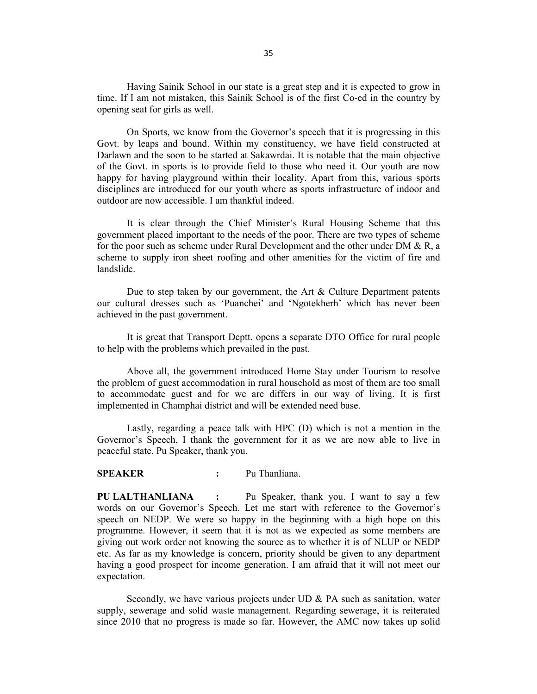Having Sainik School in our state is a great step and it is expected to grow in time. If I am not mistaken, this Sainik School is of the first Co-ed in the country by opening seat for girls as well.

On Sports, we know from the Governor's speech that it is progressing in this Govt. by leaps and bound. Within my constituency, we have field constructed at Darlawn and the soon to be started at Sakawrdai. It is notable that the main objective of the Govt. in sports is to provide field to those who need it. Our youth are now happy for having playground within their locality. Apart from this, various sports disciplines are introduced for our youth where as sports infrastructure of indoor and outdoor are now accessible. I am thankful indeed.

It is clear through the Chief Minister's Rural Housing Scheme that this government placed important to the needs of the poor. There are two types of scheme for the poor such as scheme under Rural Development and the other under DM & R, a scheme to supply iron sheet roofing and other amenities for the victim of fire and landslide.

Due to step taken by our government, the Art & Culture Department patents our cultural dresses such as 'Puanchei' and 'Ngotekherh' which has never been achieved in the past government.

It is great that Transport Deptt. opens a separate DTO Office for rural people to help with the problems which prevailed in the past.

Above all, the government introduced Home Stay under Tourism to resolve the problem of guest accommodation in rural household as most of them are too small to accommodate guest and for we are differs in our way of living. It is first implemented in Champhai district and will be extended need base.

Lastly, regarding a peace talk with HPC (D) which is not a mention in the Governor's Speech, I thank the government for it as we are now able to live in peaceful state. Pu Speaker, thank you.

### **SPEAKER :** Pu Thanliana.

**PU LALTHANLIANA :** Pu Speaker, thank you. I want to say a few words on our Governor's Speech. Let me start with reference to the Governor's speech on NEDP. We were so happy in the beginning with a high hope on this programme. However, it seem that it is not as we expected as some members are giving out work order not knowing the source as to whether it is of NLUP or NEDP etc. As far as my knowledge is concern, priority should be given to any department having a good prospect for income generation. I am afraid that it will not meet our expectation.

Secondly, we have various projects under UD & PA such as sanitation, water supply, sewerage and solid waste management. Regarding sewerage, it is reiterated since 2010 that no progress is made so far. However, the AMC now takes up solid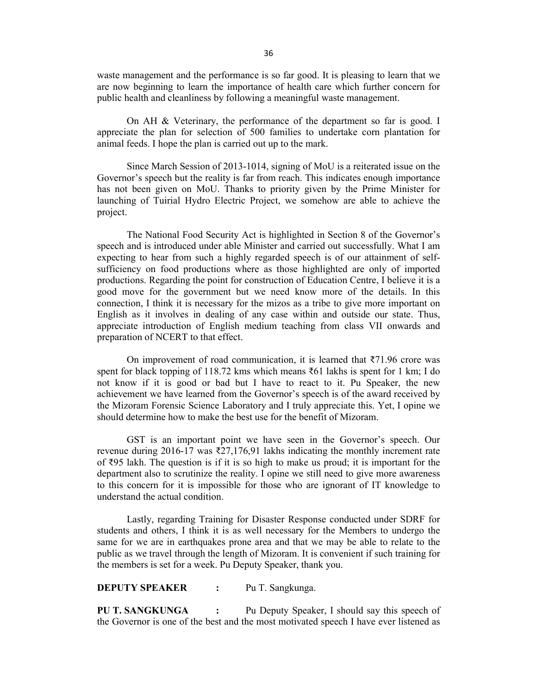waste management and the performance is so far good. It is pleasing to learn that we are now beginning to learn the importance of health care which further concern for public health and cleanliness by following a meaningful waste management.

On AH & Veterinary, the performance of the department so far is good. I appreciate the plan for selection of 500 families to undertake corn plantation for animal feeds. I hope the plan is carried out up to the mark.

Since March Session of 2013-1014, signing of MoU is a reiterated issue on the Governor's speech but the reality is far from reach. This indicates enough importance has not been given on MoU. Thanks to priority given by the Prime Minister for launching of Tuirial Hydro Electric Project, we somehow are able to achieve the project.

The National Food Security Act is highlighted in Section 8 of the Governor's speech and is introduced under able Minister and carried out successfully. What I am expecting to hear from such a highly regarded speech is of our attainment of selfsufficiency on food productions where as those highlighted are only of imported productions. Regarding the point for construction of Education Centre, I believe it is a good move for the government but we need know more of the details. In this connection, I think it is necessary for the mizos as a tribe to give more important on English as it involves in dealing of any case within and outside our state. Thus, appreciate introduction of English medium teaching from class VII onwards and preparation of NCERT to that effect.

On improvement of road communication, it is learned that  $\overline{3}71.96$  crore was spent for black topping of 118.72 kms which means ₹61 lakhs is spent for 1 km; I do not know if it is good or bad but I have to react to it. Pu Speaker, the new achievement we have learned from the Governor's speech is of the award received by the Mizoram Forensic Science Laboratory and I truly appreciate this. Yet, I opine we should determine how to make the best use for the benefit of Mizoram.

GST is an important point we have seen in the Governor's speech. Our revenue during 2016-17 was ₹27,176,91 lakhs indicating the monthly increment rate of ₹95 lakh. The question is if it is so high to make us proud; it is important for the department also to scrutinize the reality. I opine we still need to give more awareness to this concern for it is impossible for those who are ignorant of IT knowledge to understand the actual condition.

Lastly, regarding Training for Disaster Response conducted under SDRF for students and others, I think it is as well necessary for the Members to undergo the same for we are in earthquakes prone area and that we may be able to relate to the public as we travel through the length of Mizoram. It is convenient if such training for the members is set for a week. Pu Deputy Speaker, thank you.

**DEPUTY SPEAKER :** Pu T. Sangkunga.

**PU T. SANGKUNGA :** Pu Deputy Speaker, I should say this speech of the Governor is one of the best and the most motivated speech I have ever listened as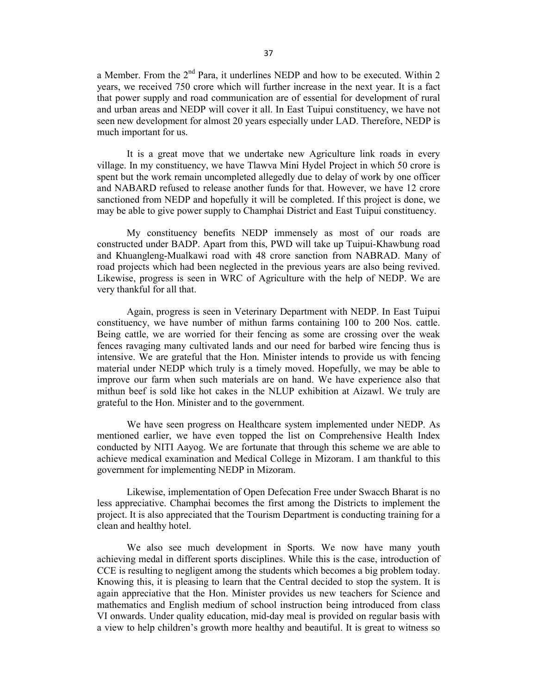a Member. From the  $2<sup>nd</sup>$  Para, it underlines NEDP and how to be executed. Within 2 years, we received 750 crore which will further increase in the next year. It is a fact that power supply and road communication are of essential for development of rural and urban areas and NEDP will cover it all. In East Tuipui constituency, we have not seen new development for almost 20 years especially under LAD. Therefore, NEDP is much important for us.

It is a great move that we undertake new Agriculture link roads in every village. In my constituency, we have Tlawva Mini Hydel Project in which 50 crore is spent but the work remain uncompleted allegedly due to delay of work by one officer and NABARD refused to release another funds for that. However, we have 12 crore sanctioned from NEDP and hopefully it will be completed. If this project is done, we may be able to give power supply to Champhai District and East Tuipui constituency.

My constituency benefits NEDP immensely as most of our roads are constructed under BADP. Apart from this, PWD will take up Tuipui-Khawbung road and Khuangleng-Mualkawi road with 48 crore sanction from NABRAD. Many of road projects which had been neglected in the previous years are also being revived. Likewise, progress is seen in WRC of Agriculture with the help of NEDP. We are very thankful for all that.

Again, progress is seen in Veterinary Department with NEDP. In East Tuipui constituency, we have number of mithun farms containing 100 to 200 Nos. cattle. Being cattle, we are worried for their fencing as some are crossing over the weak fences ravaging many cultivated lands and our need for barbed wire fencing thus is intensive. We are grateful that the Hon. Minister intends to provide us with fencing material under NEDP which truly is a timely moved. Hopefully, we may be able to improve our farm when such materials are on hand. We have experience also that mithun beef is sold like hot cakes in the NLUP exhibition at Aizawl. We truly are grateful to the Hon. Minister and to the government.

We have seen progress on Healthcare system implemented under NEDP. As mentioned earlier, we have even topped the list on Comprehensive Health Index conducted by NITI Aayog. We are fortunate that through this scheme we are able to achieve medical examination and Medical College in Mizoram. I am thankful to this government for implementing NEDP in Mizoram.

Likewise, implementation of Open Defecation Free under Swacch Bharat is no less appreciative. Champhai becomes the first among the Districts to implement the project. It is also appreciated that the Tourism Department is conducting training for a clean and healthy hotel.

We also see much development in Sports. We now have many youth achieving medal in different sports disciplines. While this is the case, introduction of CCE is resulting to negligent among the students which becomes a big problem today. Knowing this, it is pleasing to learn that the Central decided to stop the system. It is again appreciative that the Hon. Minister provides us new teachers for Science and mathematics and English medium of school instruction being introduced from class VI onwards. Under quality education, mid-day meal is provided on regular basis with a view to help children's growth more healthy and beautiful. It is great to witness so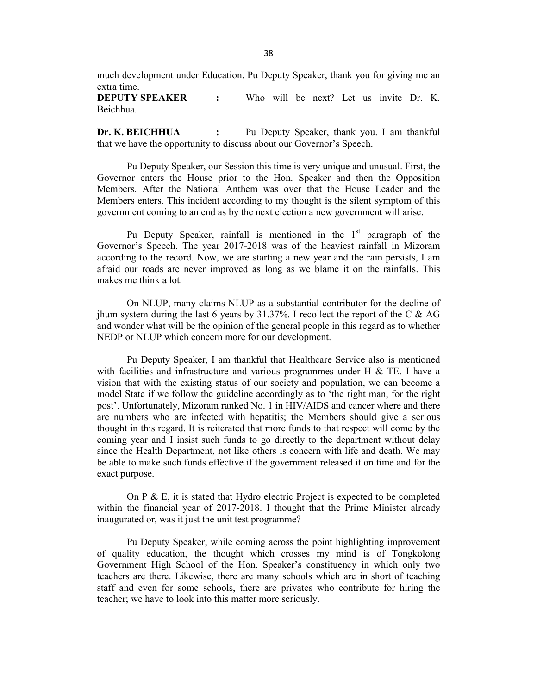much development under Education. Pu Deputy Speaker, thank you for giving me an extra time.

**DEPUTY SPEAKER :** Who will be next? Let us invite Dr. K. Beichhua.

**Dr. K. BEICHHUA :** Pu Deputy Speaker, thank you. I am thankful that we have the opportunity to discuss about our Governor's Speech.

Pu Deputy Speaker, our Session this time is very unique and unusual. First, the Governor enters the House prior to the Hon. Speaker and then the Opposition Members. After the National Anthem was over that the House Leader and the Members enters. This incident according to my thought is the silent symptom of this government coming to an end as by the next election a new government will arise.

Pu Deputy Speaker, rainfall is mentioned in the  $1<sup>st</sup>$  paragraph of the Governor's Speech. The year 2017-2018 was of the heaviest rainfall in Mizoram according to the record. Now, we are starting a new year and the rain persists, I am afraid our roads are never improved as long as we blame it on the rainfalls. This makes me think a lot.

On NLUP, many claims NLUP as a substantial contributor for the decline of jhum system during the last 6 years by  $31.37\%$ . I recollect the report of the C & AG and wonder what will be the opinion of the general people in this regard as to whether NEDP or NLUP which concern more for our development.

Pu Deputy Speaker, I am thankful that Healthcare Service also is mentioned with facilities and infrastructure and various programmes under H  $&$  TE. I have a vision that with the existing status of our society and population, we can become a model State if we follow the guideline accordingly as to 'the right man, for the right post'. Unfortunately, Mizoram ranked No. 1 in HIV/AIDS and cancer where and there are numbers who are infected with hepatitis; the Members should give a serious thought in this regard. It is reiterated that more funds to that respect will come by the coming year and I insist such funds to go directly to the department without delay since the Health Department, not like others is concern with life and death. We may be able to make such funds effective if the government released it on time and for the exact purpose.

On P & E, it is stated that Hydro electric Project is expected to be completed within the financial year of 2017-2018. I thought that the Prime Minister already inaugurated or, was it just the unit test programme?

Pu Deputy Speaker, while coming across the point highlighting improvement of quality education, the thought which crosses my mind is of Tongkolong Government High School of the Hon. Speaker's constituency in which only two teachers are there. Likewise, there are many schools which are in short of teaching staff and even for some schools, there are privates who contribute for hiring the teacher; we have to look into this matter more seriously.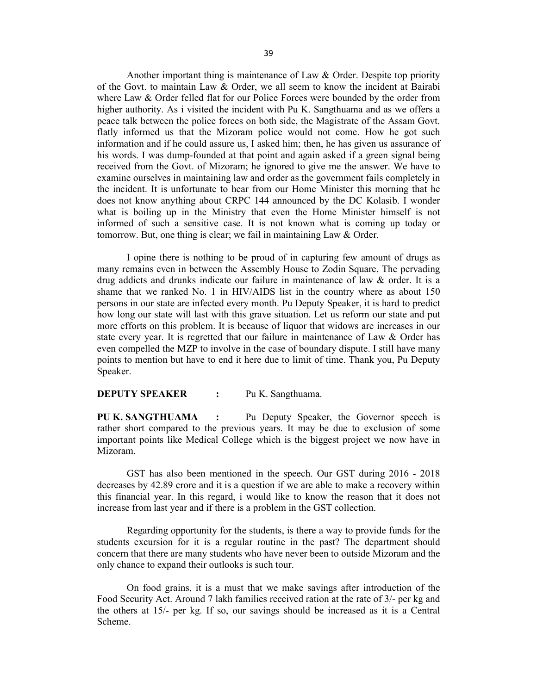Another important thing is maintenance of Law & Order. Despite top priority of the Govt. to maintain Law & Order, we all seem to know the incident at Bairabi where Law & Order felled flat for our Police Forces were bounded by the order from higher authority. As i visited the incident with Pu K. Sangthuama and as we offers a peace talk between the police forces on both side, the Magistrate of the Assam Govt. flatly informed us that the Mizoram police would not come. How he got such information and if he could assure us, I asked him; then, he has given us assurance of his words. I was dump-founded at that point and again asked if a green signal being received from the Govt. of Mizoram; he ignored to give me the answer. We have to

examine ourselves in maintaining law and order as the government fails completely in the incident. It is unfortunate to hear from our Home Minister this morning that he does not know anything about CRPC 144 announced by the DC Kolasib. I wonder what is boiling up in the Ministry that even the Home Minister himself is not informed of such a sensitive case. It is not known what is coming up today or tomorrow. But, one thing is clear; we fail in maintaining Law & Order.

I opine there is nothing to be proud of in capturing few amount of drugs as many remains even in between the Assembly House to Zodin Square. The pervading drug addicts and drunks indicate our failure in maintenance of law & order. It is a shame that we ranked No. 1 in HIV/AIDS list in the country where as about 150 persons in our state are infected every month. Pu Deputy Speaker, it is hard to predict how long our state will last with this grave situation. Let us reform our state and put more efforts on this problem. It is because of liquor that widows are increases in our state every year. It is regretted that our failure in maintenance of Law & Order has even compelled the MZP to involve in the case of boundary dispute. I still have many points to mention but have to end it here due to limit of time. Thank you, Pu Deputy Speaker.

### **DEPUTY SPEAKER :** Pu K. Sangthuama.

**PU K. SANGTHUAMA :** Pu Deputy Speaker, the Governor speech is rather short compared to the previous years. It may be due to exclusion of some important points like Medical College which is the biggest project we now have in Mizoram.

GST has also been mentioned in the speech. Our GST during 2016 - 2018 decreases by 42.89 crore and it is a question if we are able to make a recovery within this financial year. In this regard, i would like to know the reason that it does not increase from last year and if there is a problem in the GST collection.

Regarding opportunity for the students, is there a way to provide funds for the students excursion for it is a regular routine in the past? The department should concern that there are many students who have never been to outside Mizoram and the only chance to expand their outlooks is such tour.

On food grains, it is a must that we make savings after introduction of the Food Security Act. Around 7 lakh families received ration at the rate of 3/- per kg and the others at 15/- per kg. If so, our savings should be increased as it is a Central Scheme.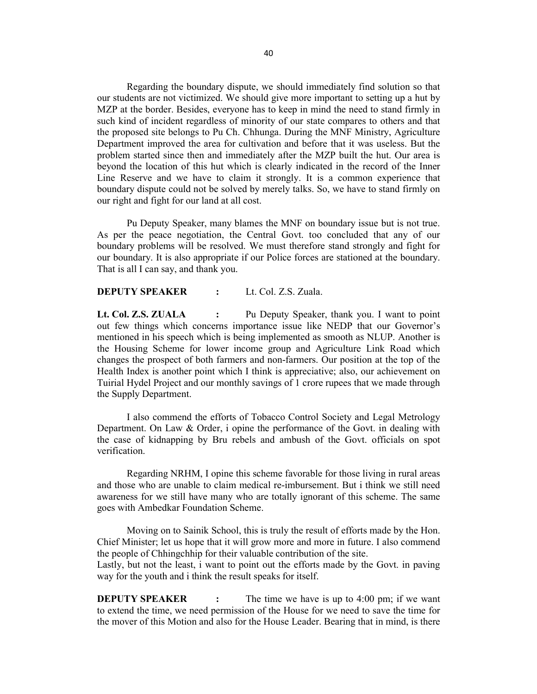Regarding the boundary dispute, we should immediately find solution so that our students are not victimized. We should give more important to setting up a hut by MZP at the border. Besides, everyone has to keep in mind the need to stand firmly in such kind of incident regardless of minority of our state compares to others and that the proposed site belongs to Pu Ch. Chhunga. During the MNF Ministry, Agriculture Department improved the area for cultivation and before that it was useless. But the problem started since then and immediately after the MZP built the hut. Our area is beyond the location of this hut which is clearly indicated in the record of the Inner Line Reserve and we have to claim it strongly. It is a common experience that boundary dispute could not be solved by merely talks. So, we have to stand firmly on our right and fight for our land at all cost.

Pu Deputy Speaker, many blames the MNF on boundary issue but is not true. As per the peace negotiation, the Central Govt. too concluded that any of our boundary problems will be resolved. We must therefore stand strongly and fight for our boundary. It is also appropriate if our Police forces are stationed at the boundary. That is all I can say, and thank you.

#### **DEPUTY SPEAKER :** Lt. Col. Z.S. Zuala.

**Lt. Col. Z.S. ZUALA :** Pu Deputy Speaker, thank you. I want to point out few things which concerns importance issue like NEDP that our Governor's mentioned in his speech which is being implemented as smooth as NLUP. Another is the Housing Scheme for lower income group and Agriculture Link Road which changes the prospect of both farmers and non-farmers. Our position at the top of the Health Index is another point which I think is appreciative; also, our achievement on Tuirial Hydel Project and our monthly savings of 1 crore rupees that we made through the Supply Department.

I also commend the efforts of Tobacco Control Society and Legal Metrology Department. On Law & Order, i opine the performance of the Govt. in dealing with the case of kidnapping by Bru rebels and ambush of the Govt. officials on spot verification.

Regarding NRHM, I opine this scheme favorable for those living in rural areas and those who are unable to claim medical re-imbursement. But i think we still need awareness for we still have many who are totally ignorant of this scheme. The same goes with Ambedkar Foundation Scheme.

Moving on to Sainik School, this is truly the result of efforts made by the Hon. Chief Minister; let us hope that it will grow more and more in future. I also commend the people of Chhingchhip for their valuable contribution of the site. Lastly, but not the least, i want to point out the efforts made by the Govt. in paving

way for the youth and i think the result speaks for itself.

**DEPUTY SPEAKER** : The time we have is up to 4:00 pm; if we want to extend the time, we need permission of the House for we need to save the time for the mover of this Motion and also for the House Leader. Bearing that in mind, is there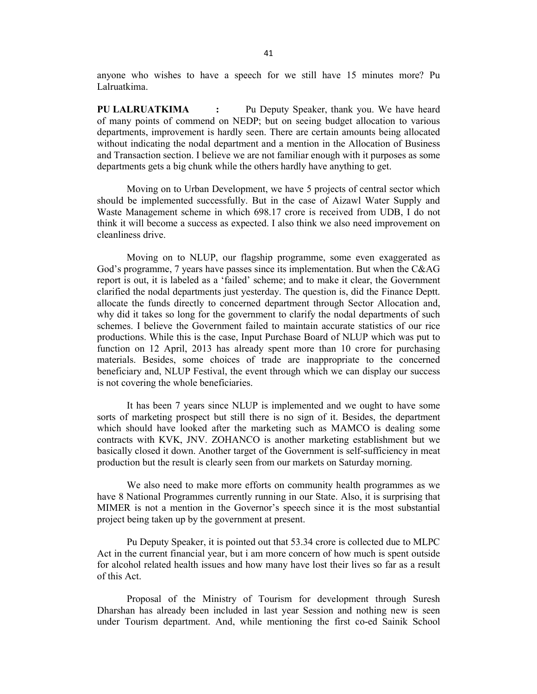anyone who wishes to have a speech for we still have 15 minutes more? Pu Lalruatkima.

**PU LALRUATKIMA :** Pu Deputy Speaker, thank you. We have heard of many points of commend on NEDP; but on seeing budget allocation to various departments, improvement is hardly seen. There are certain amounts being allocated without indicating the nodal department and a mention in the Allocation of Business and Transaction section. I believe we are not familiar enough with it purposes as some departments gets a big chunk while the others hardly have anything to get.

Moving on to Urban Development, we have 5 projects of central sector which should be implemented successfully. But in the case of Aizawl Water Supply and Waste Management scheme in which 698.17 crore is received from UDB, I do not think it will become a success as expected. I also think we also need improvement on cleanliness drive.

Moving on to NLUP, our flagship programme, some even exaggerated as God's programme, 7 years have passes since its implementation. But when the C&AG report is out, it is labeled as a 'failed' scheme; and to make it clear, the Government clarified the nodal departments just yesterday. The question is, did the Finance Deptt. allocate the funds directly to concerned department through Sector Allocation and, why did it takes so long for the government to clarify the nodal departments of such schemes. I believe the Government failed to maintain accurate statistics of our rice productions. While this is the case, Input Purchase Board of NLUP which was put to function on 12 April, 2013 has already spent more than 10 crore for purchasing materials. Besides, some choices of trade are inappropriate to the concerned beneficiary and, NLUP Festival, the event through which we can display our success is not covering the whole beneficiaries.

It has been 7 years since NLUP is implemented and we ought to have some sorts of marketing prospect but still there is no sign of it. Besides, the department which should have looked after the marketing such as MAMCO is dealing some contracts with KVK, JNV. ZOHANCO is another marketing establishment but we basically closed it down. Another target of the Government is self-sufficiency in meat production but the result is clearly seen from our markets on Saturday morning.

We also need to make more efforts on community health programmes as we have 8 National Programmes currently running in our State. Also, it is surprising that MIMER is not a mention in the Governor's speech since it is the most substantial project being taken up by the government at present.

Pu Deputy Speaker, it is pointed out that 53.34 crore is collected due to MLPC Act in the current financial year, but i am more concern of how much is spent outside for alcohol related health issues and how many have lost their lives so far as a result of this Act.

Proposal of the Ministry of Tourism for development through Suresh Dharshan has already been included in last year Session and nothing new is seen under Tourism department. And, while mentioning the first co-ed Sainik School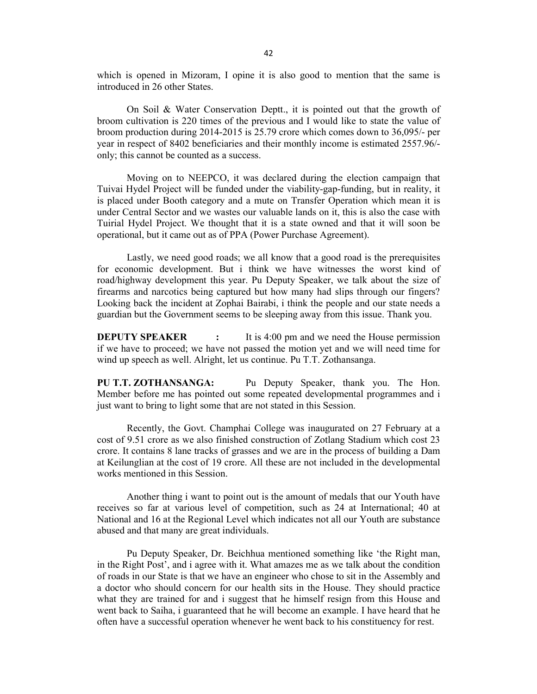which is opened in Mizoram, I opine it is also good to mention that the same is introduced in 26 other States.

On Soil & Water Conservation Deptt., it is pointed out that the growth of broom cultivation is 220 times of the previous and I would like to state the value of broom production during 2014-2015 is 25.79 crore which comes down to 36,095/- per year in respect of 8402 beneficiaries and their monthly income is estimated 2557.96/ only; this cannot be counted as a success.

Moving on to NEEPCO, it was declared during the election campaign that Tuivai Hydel Project will be funded under the viability-gap-funding, but in reality, it is placed under Booth category and a mute on Transfer Operation which mean it is under Central Sector and we wastes our valuable lands on it, this is also the case with Tuirial Hydel Project. We thought that it is a state owned and that it will soon be operational, but it came out as of PPA (Power Purchase Agreement).

Lastly, we need good roads; we all know that a good road is the prerequisites for economic development. But i think we have witnesses the worst kind of road/highway development this year. Pu Deputy Speaker, we talk about the size of firearms and narcotics being captured but how many had slips through our fingers? Looking back the incident at Zophai Bairabi, i think the people and our state needs a guardian but the Government seems to be sleeping away from this issue. Thank you.

**DEPUTY SPEAKER** : It is 4:00 pm and we need the House permission if we have to proceed; we have not passed the motion yet and we will need time for wind up speech as well. Alright, let us continue. Pu T.T. Zothansanga.

**PU T.T. ZOTHANSANGA:** Pu Deputy Speaker, thank you. The Hon. Member before me has pointed out some repeated developmental programmes and i just want to bring to light some that are not stated in this Session.

Recently, the Govt. Champhai College was inaugurated on 27 February at a cost of 9.51 crore as we also finished construction of Zotlang Stadium which cost 23 crore. It contains 8 lane tracks of grasses and we are in the process of building a Dam at Keilunglian at the cost of 19 crore. All these are not included in the developmental works mentioned in this Session.

Another thing i want to point out is the amount of medals that our Youth have receives so far at various level of competition, such as 24 at International; 40 at National and 16 at the Regional Level which indicates not all our Youth are substance abused and that many are great individuals.

Pu Deputy Speaker, Dr. Beichhua mentioned something like 'the Right man, in the Right Post', and i agree with it. What amazes me as we talk about the condition of roads in our State is that we have an engineer who chose to sit in the Assembly and a doctor who should concern for our health sits in the House. They should practice what they are trained for and i suggest that he himself resign from this House and went back to Saiha, i guaranteed that he will become an example. I have heard that he often have a successful operation whenever he went back to his constituency for rest.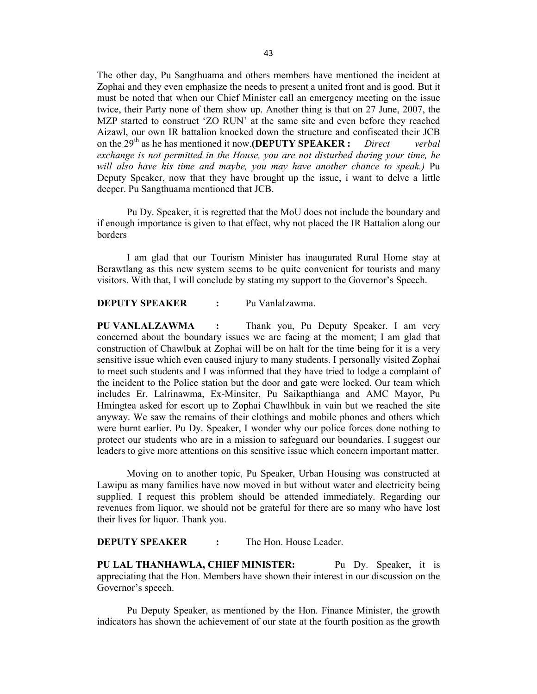The other day, Pu Sangthuama and others members have mentioned the incident at Zophai and they even emphasize the needs to present a united front and is good. But it must be noted that when our Chief Minister call an emergency meeting on the issue twice, their Party none of them show up. Another thing is that on 27 June, 2007, the MZP started to construct 'ZO RUN' at the same site and even before they reached Aizawl, our own IR battalion knocked down the structure and confiscated their JCB on the 29<sup>th</sup> as he has mentioned it now.**(DEPUTY SPEAKER** : *Direct verbal exchange is not permitted in the House, you are not disturbed during your time, he will also have his time and maybe, you may have another chance to speak.)* Pu Deputy Speaker, now that they have brought up the issue, i want to delve a little deeper. Pu Sangthuama mentioned that JCB.

Pu Dy. Speaker, it is regretted that the MoU does not include the boundary and if enough importance is given to that effect, why not placed the IR Battalion along our borders

I am glad that our Tourism Minister has inaugurated Rural Home stay at Berawtlang as this new system seems to be quite convenient for tourists and many visitors. With that, I will conclude by stating my support to the Governor's Speech.

#### **DEPUTY SPEAKER :** Pu Vanlalzawma.

**PU VANLALZAWMA :** Thank you, Pu Deputy Speaker. I am very concerned about the boundary issues we are facing at the moment; I am glad that construction of Chawlbuk at Zophai will be on halt for the time being for it is a very sensitive issue which even caused injury to many students. I personally visited Zophai to meet such students and I was informed that they have tried to lodge a complaint of the incident to the Police station but the door and gate were locked. Our team which includes Er. Lalrinawma, Ex-Minsiter, Pu Saikapthianga and AMC Mayor, Pu Hmingtea asked for escort up to Zophai Chawlhbuk in vain but we reached the site anyway. We saw the remains of their clothings and mobile phones and others which were burnt earlier. Pu Dy. Speaker, I wonder why our police forces done nothing to protect our students who are in a mission to safeguard our boundaries. I suggest our leaders to give more attentions on this sensitive issue which concern important matter.

Moving on to another topic, Pu Speaker, Urban Housing was constructed at Lawipu as many families have now moved in but without water and electricity being supplied. I request this problem should be attended immediately. Regarding our revenues from liquor, we should not be grateful for there are so many who have lost their lives for liquor. Thank you.

### **DEPUTY SPEAKER** : The Hon. House Leader.

**PU LAL THANHAWLA, CHIEF MINISTER:** Pu Dy. Speaker, it is appreciating that the Hon. Members have shown their interest in our discussion on the Governor's speech.

Pu Deputy Speaker, as mentioned by the Hon. Finance Minister, the growth indicators has shown the achievement of our state at the fourth position as the growth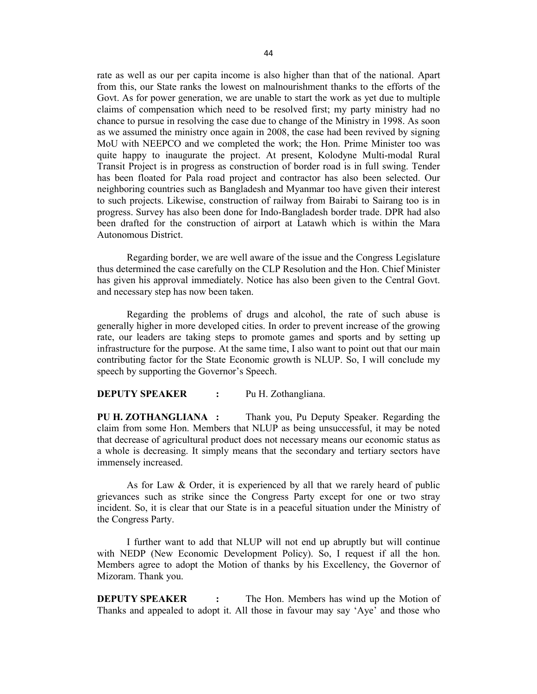rate as well as our per capita income is also higher than that of the national. Apart from this, our State ranks the lowest on malnourishment thanks to the efforts of the Govt. As for power generation, we are unable to start the work as yet due to multiple claims of compensation which need to be resolved first; my party ministry had no chance to pursue in resolving the case due to change of the Ministry in 1998. As soon as we assumed the ministry once again in 2008, the case had been revived by signing MoU with NEEPCO and we completed the work; the Hon. Prime Minister too was quite happy to inaugurate the project. At present, Kolodyne Multi-modal Rural Transit Project is in progress as construction of border road is in full swing. Tender has been floated for Pala road project and contractor has also been selected. Our neighboring countries such as Bangladesh and Myanmar too have given their interest to such projects. Likewise, construction of railway from Bairabi to Sairang too is in progress. Survey has also been done for Indo-Bangladesh border trade. DPR had also been drafted for the construction of airport at Latawh which is within the Mara Autonomous District.

Regarding border, we are well aware of the issue and the Congress Legislature thus determined the case carefully on the CLP Resolution and the Hon. Chief Minister has given his approval immediately. Notice has also been given to the Central Govt. and necessary step has now been taken.

Regarding the problems of drugs and alcohol, the rate of such abuse is generally higher in more developed cities. In order to prevent increase of the growing rate, our leaders are taking steps to promote games and sports and by setting up infrastructure for the purpose. At the same time, I also want to point out that our main contributing factor for the State Economic growth is NLUP. So, I will conclude my speech by supporting the Governor's Speech.

#### **DEPUTY SPEAKER :** Pu H. Zothangliana.

**PU H. ZOTHANGLIANA :** Thank you, Pu Deputy Speaker. Regarding the claim from some Hon. Members that NLUP as being unsuccessful, it may be noted that decrease of agricultural product does not necessary means our economic status as a whole is decreasing. It simply means that the secondary and tertiary sectors have immensely increased.

As for Law & Order, it is experienced by all that we rarely heard of public grievances such as strike since the Congress Party except for one or two stray incident. So, it is clear that our State is in a peaceful situation under the Ministry of the Congress Party.

I further want to add that NLUP will not end up abruptly but will continue with NEDP (New Economic Development Policy). So, I request if all the hon. Members agree to adopt the Motion of thanks by his Excellency, the Governor of Mizoram. Thank you.

**DEPUTY SPEAKER :** The Hon. Members has wind up the Motion of Thanks and appealed to adopt it. All those in favour may say 'Aye' and those who